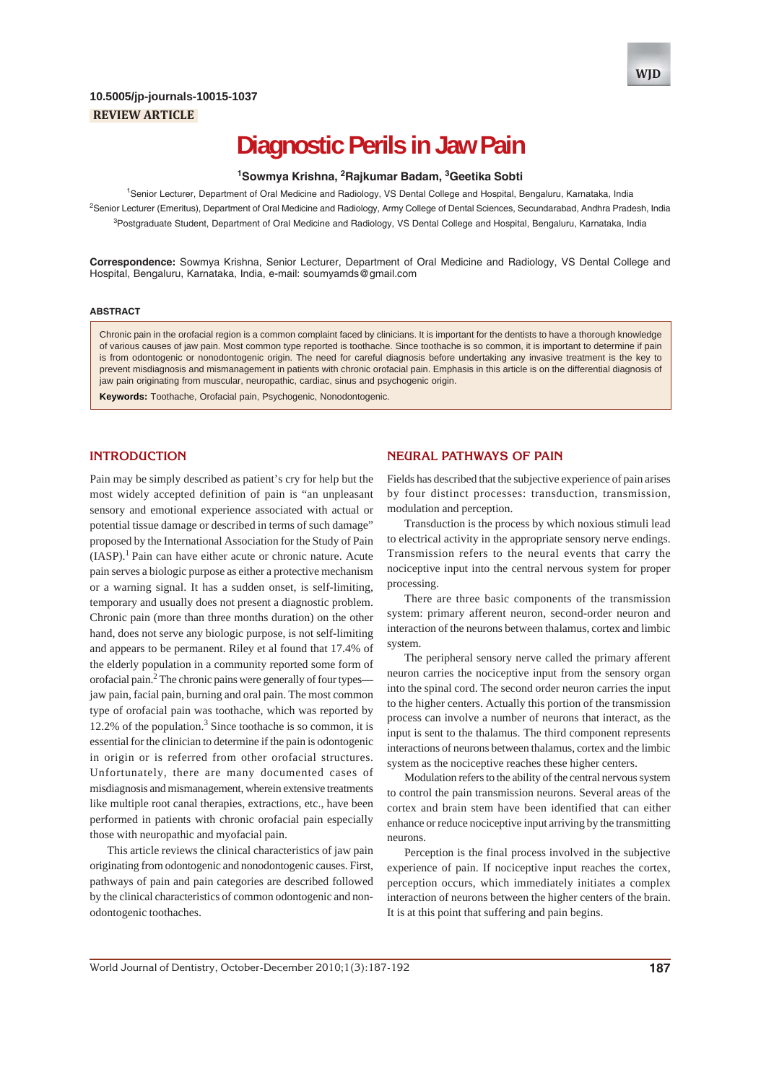## **REVIEW ARTICLE 10.5005/jp-journals-10015-1037**

# **Diagnostic Perils in Jaw Pain**

## <sup>1</sup> Sowmya Krishna, <sup>2</sup> Rajkumar Badam, <sup>3</sup> Geetika Sobti

<sup>1</sup>Senior Lecturer, Department of Oral Medicine and Radiology, VS Dental College and Hospital, Bengaluru, Karnataka, India <sup>2</sup>Senior Lecturer (Emeritus), Department of Oral Medicine and Radiology, Army College of Dental Sciences, Secundarabad, Andhra Pradesh, India <sup>3</sup>Postgraduate Student, Department of Oral Medicine and Radiology, VS Dental College and Hospital, Bengaluru, Karnataka, India

**Correspondence:** Sowmya Krishna, Senior Lecturer, Department of Oral Medicine and Radiology, VS Dental College and Hospital, Bengaluru, Karnataka, India, e-mail: soumyamds@gmail.com

#### **ABSTRACT**

Chronic pain in the orofacial region is a common complaint faced by clinicians. It is important for the dentists to have a thorough knowledge of various causes of jaw pain. Most common type reported is toothache. Since toothache is so common, it is important to determine if pain is from odontogenic or nonodontogenic origin. The need for careful diagnosis before undertaking any invasive treatment is the key to prevent misdiagnosis and mismanagement in patients with chronic orofacial pain. Emphasis in this article is on the differential diagnosis of jaw pain originating from muscular, neuropathic, cardiac, sinus and psychogenic origin.

**Keywords:** Toothache, Orofacial pain, Psychogenic, Nonodontogenic.

## **INTRODUCTION**

Pain may be simply described as patient's cry for help but the most widely accepted definition of pain is "an unpleasant sensory and emotional experience associated with actual or potential tissue damage or described in terms of such damage" proposed by the International Association for the Study of Pain  $(IASP).<sup>1</sup>$  Pain can have either acute or chronic nature. Acute pain serves a biologic purpose as either a protective mechanism or a warning signal. It has a sudden onset, is self-limiting, temporary and usually does not present a diagnostic problem. Chronic pain (more than three months duration) on the other hand, does not serve any biologic purpose, is not self-limiting and appears to be permanent. Riley et al found that 17.4% of the elderly population in a community reported some form of orofacial pain.<sup>2</sup> The chronic pains were generally of four types jaw pain, facial pain, burning and oral pain. The most common type of orofacial pain was toothache, which was reported by  $12.2\%$  of the population.<sup>3</sup> Since toothache is so common, it is essential for the clinician to determine if the pain is odontogenic in origin or is referred from other orofacial structures. Unfortunately, there are many documented cases of misdiagnosis and mismanagement, wherein extensive treatments like multiple root canal therapies, extractions, etc., have been performed in patients with chronic orofacial pain especially those with neuropathic and myofacial pain.

This article reviews the clinical characteristics of jaw pain originating from odontogenic and nonodontogenic causes. First, pathways of pain and pain categories are described followed by the clinical characteristics of common odontogenic and nonodontogenic toothaches.

#### **NEURAL PATHWAYS OF PAIN**

Fields has described that the subjective experience of pain arises by four distinct processes: transduction, transmission, modulation and perception.

Transduction is the process by which noxious stimuli lead to electrical activity in the appropriate sensory nerve endings. Transmission refers to the neural events that carry the nociceptive input into the central nervous system for proper processing.

There are three basic components of the transmission system: primary afferent neuron, second-order neuron and interaction of the neurons between thalamus, cortex and limbic system.

The peripheral sensory nerve called the primary afferent neuron carries the nociceptive input from the sensory organ into the spinal cord. The second order neuron carries the input to the higher centers. Actually this portion of the transmission process can involve a number of neurons that interact, as the input is sent to the thalamus. The third component represents interactions of neurons between thalamus, cortex and the limbic system as the nociceptive reaches these higher centers.

Modulation refers to the ability of the central nervous system to control the pain transmission neurons. Several areas of the cortex and brain stem have been identified that can either enhance or reduce nociceptive input arriving by the transmitting neurons.

Perception is the final process involved in the subjective experience of pain. If nociceptive input reaches the cortex, perception occurs, which immediately initiates a complex interaction of neurons between the higher centers of the brain. It is at this point that suffering and pain begins.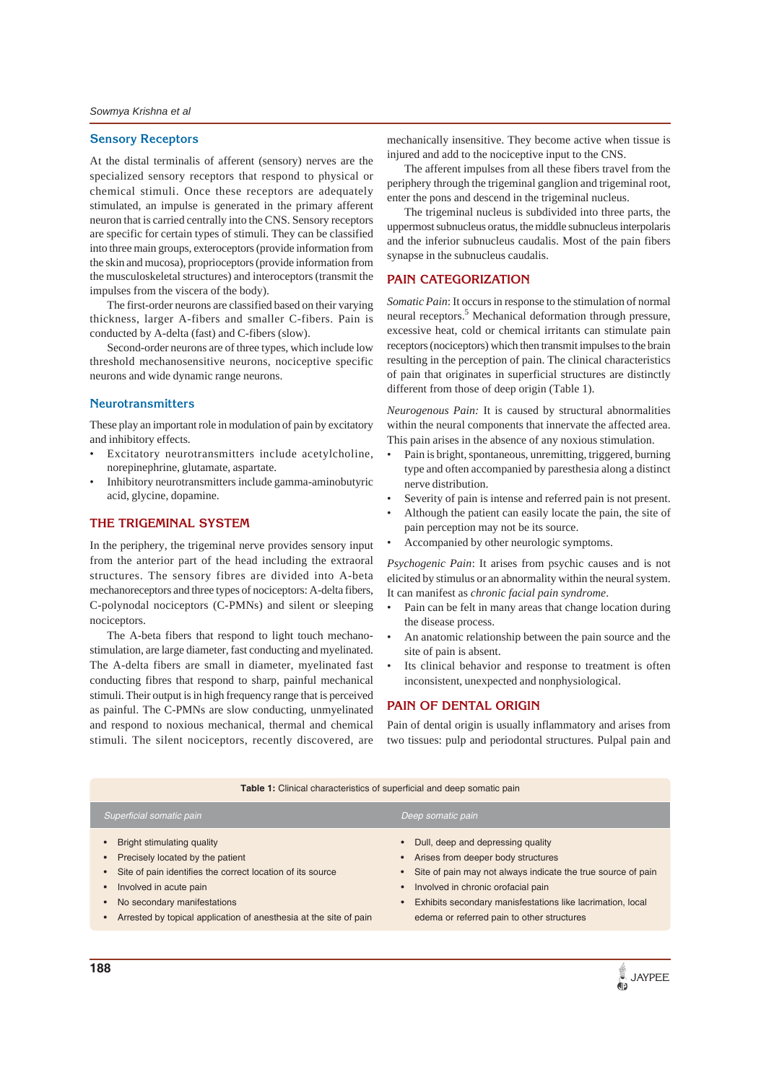#### **Sensory Receptors**

At the distal terminalis of afferent (sensory) nerves are the specialized sensory receptors that respond to physical or chemical stimuli. Once these receptors are adequately stimulated, an impulse is generated in the primary afferent neuron that is carried centrally into the CNS. Sensory receptors are specific for certain types of stimuli. They can be classified into three main groups, exteroceptors (provide information from the skin and mucosa), proprioceptors (provide information from the musculoskeletal structures) and interoceptors (transmit the impulses from the viscera of the body).

The first-order neurons are classified based on their varying thickness, larger A-fibers and smaller C-fibers. Pain is conducted by A-delta (fast) and C-fibers (slow).

Second-order neurons are of three types, which include low threshold mechanosensitive neurons, nociceptive specific neurons and wide dynamic range neurons.

#### **Neurotransmitters**

These play an important role in modulation of pain by excitatory and inhibitory effects.

- Excitatory neurotransmitters include acetylcholine, norepinephrine, glutamate, aspartate.
- Inhibitory neurotransmitters include gamma-aminobutyric acid, glycine, dopamine.

## **THE TRIGEMINAL SYSTEM**

In the periphery, the trigeminal nerve provides sensory input from the anterior part of the head including the extraoral structures. The sensory fibres are divided into A-beta mechanoreceptors and three types of nociceptors: A-delta fibers, C-polynodal nociceptors (C-PMNs) and silent or sleeping nociceptors.

The A-beta fibers that respond to light touch mechanostimulation, are large diameter, fast conducting and myelinated. The A-delta fibers are small in diameter, myelinated fast conducting fibres that respond to sharp, painful mechanical stimuli. Their output is in high frequency range that is perceived as painful. The C-PMNs are slow conducting, unmyelinated and respond to noxious mechanical, thermal and chemical stimuli. The silent nociceptors, recently discovered, are

mechanically insensitive. They become active when tissue is injured and add to the nociceptive input to the CNS.

The afferent impulses from all these fibers travel from the periphery through the trigeminal ganglion and trigeminal root, enter the pons and descend in the trigeminal nucleus.

The trigeminal nucleus is subdivided into three parts, the uppermost subnucleus oratus, the middle subnucleus interpolaris and the inferior subnucleus caudalis. Most of the pain fibers synapse in the subnucleus caudalis.

### **PAIN CATEGORIZATION**

*Somatic Pain*: It occurs in response to the stimulation of normal neural receptors.<sup>5</sup> Mechanical deformation through pressure, excessive heat, cold or chemical irritants can stimulate pain receptors (nociceptors) which then transmit impulses to the brain resulting in the perception of pain. The clinical characteristics of pain that originates in superficial structures are distinctly different from those of deep origin (Table 1).

*Neurogenous Pain:* It is caused by structural abnormalities within the neural components that innervate the affected area. This pain arises in the absence of any noxious stimulation.

- Pain is bright, spontaneous, unremitting, triggered, burning type and often accompanied by paresthesia along a distinct nerve distribution.
- Severity of pain is intense and referred pain is not present.
- Although the patient can easily locate the pain, the site of pain perception may not be its source.
- Accompanied by other neurologic symptoms.

*Psychogenic Pain*: It arises from psychic causes and is not elicited by stimulus or an abnormality within the neural system. It can manifest as *chronic facial pain syndrome*.

- Pain can be felt in many areas that change location during the disease process.
- An anatomic relationship between the pain source and the site of pain is absent.
- Its clinical behavior and response to treatment is often inconsistent, unexpected and nonphysiological.

## **PAIN OF DENTAL ORIGIN**

Pain of dental origin is usually inflammatory and arises from two tissues: pulp and periodontal structures. Pulpal pain and

| <b>Table 1:</b> Clinical characteristics of superficial and deep somatic pain                                                                                                                                                                              |                                                                                                                                                                                                                                                                                                                                                 |  |
|------------------------------------------------------------------------------------------------------------------------------------------------------------------------------------------------------------------------------------------------------------|-------------------------------------------------------------------------------------------------------------------------------------------------------------------------------------------------------------------------------------------------------------------------------------------------------------------------------------------------|--|
| Superficial somatic pain                                                                                                                                                                                                                                   | Deep somatic pain                                                                                                                                                                                                                                                                                                                               |  |
| Bright stimulating quality<br>Precisely located by the patient<br>Site of pain identifies the correct location of its source<br>Involved in acute pain<br>No secondary manifestations<br>Arrested by topical application of anesthesia at the site of pain | Dull, deep and depressing quality<br>$\bullet$<br>Arises from deeper body structures<br>$\bullet$<br>• Site of pain may not always indicate the true source of pain<br>Involved in chronic orofacial pain<br>$\bullet$<br>Exhibits secondary manisfestations like lacrimation, local<br>$\bullet$<br>edema or referred pain to other structures |  |
|                                                                                                                                                                                                                                                            |                                                                                                                                                                                                                                                                                                                                                 |  |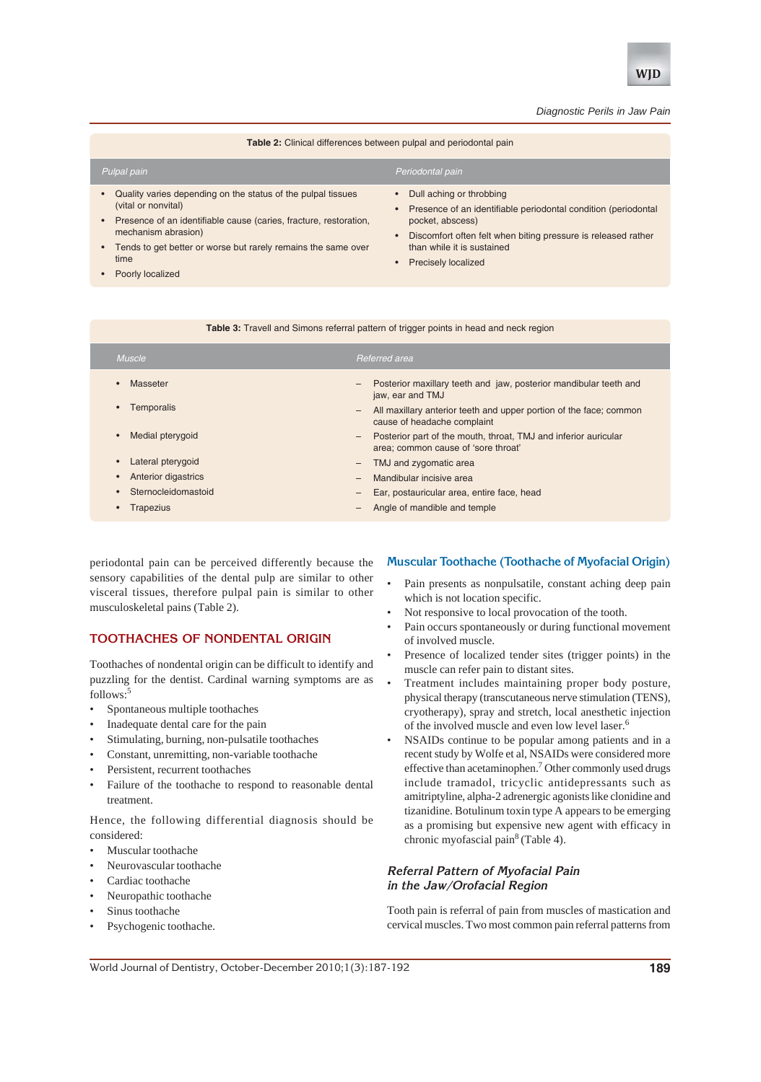

#### **Table 2:** Clinical differences between pulpal and periodontal pain

| Pulpal pain                                                                              |                                                                                                           | Periodontal pain                                                                    |
|------------------------------------------------------------------------------------------|-----------------------------------------------------------------------------------------------------------|-------------------------------------------------------------------------------------|
| Quality varies depending on the status of the pulpal tissues<br>(vital or nonvital)      | • Dull aching or throbbing<br>Presence of an identifiable periodontal condition (periodontal<br>$\bullet$ |                                                                                     |
| Presence of an identifiable cause (caries, fracture, restoration,<br>mechanism abrasion) |                                                                                                           | pocket, abscess)<br>• Discomfort often felt when biting pressure is released rather |

- Discomfort often felt when biting pressure is released rather than while it is sustained
- Precisely localized

# Poorly localized

time

#### **Table 3:** Travell and Simons referral pattern of trigger points in head and neck region

| <b>Muscle</b>                  | Referred area                                                                                               |
|--------------------------------|-------------------------------------------------------------------------------------------------------------|
| Masseter                       | Posterior maxillary teeth and jaw, posterior mandibular teeth and<br>$\qquad \qquad -$<br>jaw, ear and TMJ  |
| Temporalis                     | All maxillary anterior teeth and upper portion of the face; common<br>-<br>cause of headache complaint      |
| Medial pterygoid<br>$\bullet$  | Posterior part of the mouth, throat, TMJ and inferior auricular<br>-<br>area; common cause of 'sore throat' |
| Lateral pterygoid<br>$\bullet$ | TMJ and zygomatic area<br>-                                                                                 |
| <b>Anterior digastrics</b>     | Mandibular incisive area<br>$\qquad \qquad -$                                                               |
| Sternocleidomastoid            | Ear, postauricular area, entire face, head<br>$\qquad \qquad -$                                             |
| <b>Trapezius</b>               | Angle of mandible and temple                                                                                |

periodontal pain can be perceived differently because the sensory capabilities of the dental pulp are similar to other visceral tissues, therefore pulpal pain is similar to other musculoskeletal pains (Table 2).

Tends to get better or worse but rarely remains the same over

## **TOOTHACHES OF NONDENTAL ORIGIN**

Toothaches of nondental origin can be difficult to identify and puzzling for the dentist. Cardinal warning symptoms are as follows:5

- Spontaneous multiple toothaches
- Inadequate dental care for the pain
- Stimulating, burning, non-pulsatile toothaches
- Constant, unremitting, non-variable toothache
- Persistent, recurrent toothaches
- Failure of the toothache to respond to reasonable dental treatment.

Hence, the following differential diagnosis should be considered:

- Muscular toothache
- Neurovascular toothache
- Cardiac toothache
- Neuropathic toothache
- Sinus toothache
- Psychogenic toothache.

#### **Muscular Toothache (Toothache of Myofacial Origin)**

- Pain presents as nonpulsatile, constant aching deep pain which is not location specific.
- Not responsive to local provocation of the tooth.
- Pain occurs spontaneously or during functional movement of involved muscle.
- Presence of localized tender sites (trigger points) in the muscle can refer pain to distant sites.
- Treatment includes maintaining proper body posture, physical therapy (transcutaneous nerve stimulation (TENS), cryotherapy), spray and stretch, local anesthetic injection of the involved muscle and even low level laser.6
- NSAIDs continue to be popular among patients and in a recent study by Wolfe et al, NSAIDs were considered more effective than acetaminophen.<sup>7</sup> Other commonly used drugs include tramadol, tricyclic antidepressants such as amitriptyline, alpha-2 adrenergic agonists like clonidine and tizanidine. Botulinum toxin type A appears to be emerging as a promising but expensive new agent with efficacy in chronic myofascial pain<sup>8</sup> (Table 4).

## **Referral Pattern of Myofacial Pain in the Jaw/Orofacial Region**

Tooth pain is referral of pain from muscles of mastication and cervical muscles. Two most common pain referral patterns from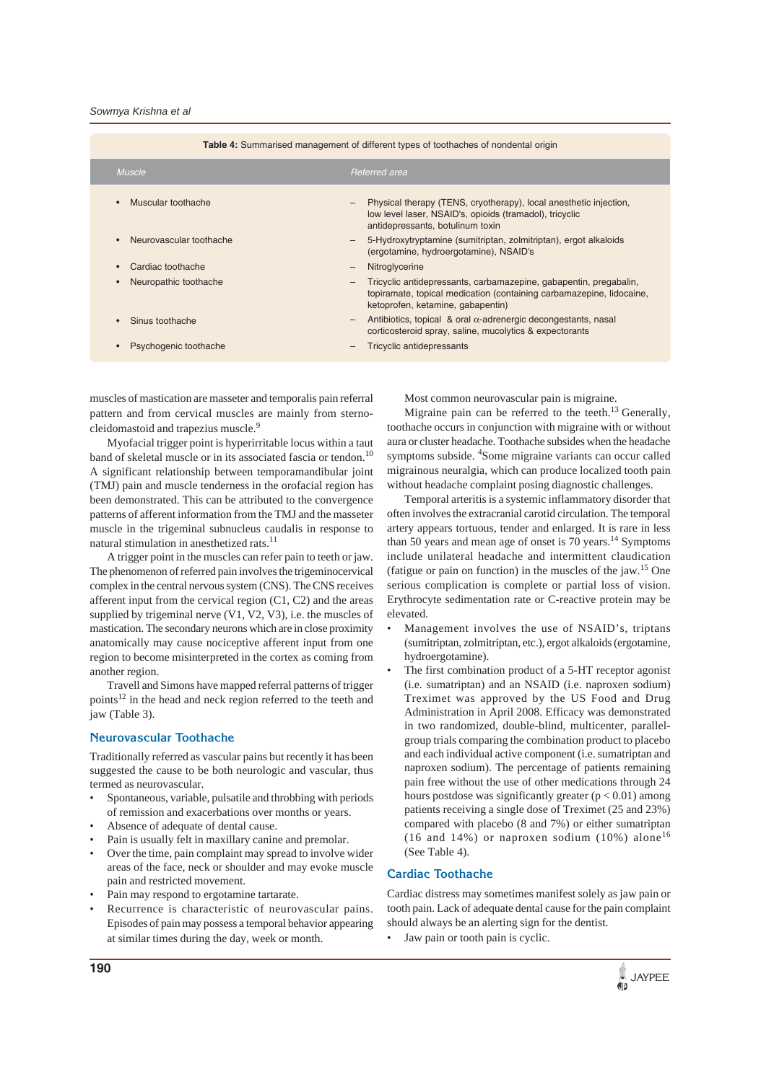| <b>Table 4:</b> Summarised management of different types of toothaches of nondental origin |                                                                                                                                                                                       |  |  |  |
|--------------------------------------------------------------------------------------------|---------------------------------------------------------------------------------------------------------------------------------------------------------------------------------------|--|--|--|
| <b>Muscle</b>                                                                              | Referred area                                                                                                                                                                         |  |  |  |
| Muscular toothache                                                                         | Physical therapy (TENS, cryotherapy), local anesthetic injection,<br>$\qquad \qquad -$<br>low level laser, NSAID's, opioids (tramadol), tricyclic<br>antidepressants, botulinum toxin |  |  |  |
| Neurovascular toothache                                                                    | 5-Hydroxytryptamine (sumitriptan, zolmitriptan), ergot alkaloids<br>$\overline{\phantom{m}}$<br>(ergotamine, hydroergotamine), NSAID's                                                |  |  |  |
| Cardiac toothache                                                                          | Nitroglycerine<br>$\qquad \qquad -$                                                                                                                                                   |  |  |  |
| Neuropathic toothache                                                                      | Tricyclic antidepressants, carbamazepine, gabapentin, pregabalin,<br>-<br>topiramate, topical medication (containing carbamazepine, lidocaine,<br>ketoprofen, ketamine, gabapentin)   |  |  |  |
| Sinus toothache                                                                            | Antibiotics, topical & oral $\alpha$ -adrenergic decongestants, nasal<br>$\qquad \qquad -$<br>corticosteroid spray, saline, mucolytics & expectorants                                 |  |  |  |
| Psychogenic toothache                                                                      | <b>Tricyclic antidepressants</b><br>-                                                                                                                                                 |  |  |  |

muscles of mastication are masseter and temporalis pain referral pattern and from cervical muscles are mainly from sternocleidomastoid and trapezius muscle.<sup>9</sup>

Myofacial trigger point is hyperirritable locus within a taut band of skeletal muscle or in its associated fascia or tendon.<sup>10</sup> A significant relationship between temporamandibular joint (TMJ) pain and muscle tenderness in the orofacial region has been demonstrated. This can be attributed to the convergence patterns of afferent information from the TMJ and the masseter muscle in the trigeminal subnucleus caudalis in response to natural stimulation in anesthetized rats.11

A trigger point in the muscles can refer pain to teeth or jaw. The phenomenon of referred pain involves the trigeminocervical complex in the central nervous system (CNS). The CNS receives afferent input from the cervical region (C1, C2) and the areas supplied by trigeminal nerve (V1, V2, V3), i.e. the muscles of mastication. The secondary neurons which are in close proximity anatomically may cause nociceptive afferent input from one region to become misinterpreted in the cortex as coming from another region.

Travell and Simons have mapped referral patterns of trigger points<sup>12</sup> in the head and neck region referred to the teeth and jaw (Table 3).

#### **Neurovascular Toothache**

Traditionally referred as vascular pains but recently it has been suggested the cause to be both neurologic and vascular, thus termed as neurovascular.

- Spontaneous, variable, pulsatile and throbbing with periods of remission and exacerbations over months or years.
- Absence of adequate of dental cause.
- Pain is usually felt in maxillary canine and premolar.
- Over the time, pain complaint may spread to involve wider areas of the face, neck or shoulder and may evoke muscle pain and restricted movement.
- Pain may respond to ergotamine tartarate.
- Recurrence is characteristic of neurovascular pains. Episodes of pain may possess a temporal behavior appearing at similar times during the day, week or month.

Most common neurovascular pain is migraine.

Migraine pain can be referred to the teeth.<sup>13</sup> Generally, toothache occurs in conjunction with migraine with or without aura or cluster headache. Toothache subsides when the headache symptoms subside. <sup>4</sup>Some migraine variants can occur called migrainous neuralgia, which can produce localized tooth pain without headache complaint posing diagnostic challenges.

Temporal arteritis is a systemic inflammatory disorder that often involves the extracranial carotid circulation. The temporal artery appears tortuous, tender and enlarged. It is rare in less than 50 years and mean age of onset is 70 years.14 Symptoms include unilateral headache and intermittent claudication (fatigue or pain on function) in the muscles of the jaw.<sup>15</sup> One serious complication is complete or partial loss of vision. Erythrocyte sedimentation rate or C-reactive protein may be elevated.

- Management involves the use of NSAID's, triptans (sumitriptan, zolmitriptan, etc.), ergot alkaloids (ergotamine, hydroergotamine).
- The first combination product of a 5-HT receptor agonist (i.e. sumatriptan) and an NSAID (i.e. naproxen sodium) Treximet was approved by the US Food and Drug Administration in April 2008. Efficacy was demonstrated in two randomized, double-blind, multicenter, parallelgroup trials comparing the combination product to placebo and each individual active component (i.e. sumatriptan and naproxen sodium). The percentage of patients remaining pain free without the use of other medications through 24 hours postdose was significantly greater  $(p < 0.01)$  among patients receiving a single dose of Treximet (25 and 23%) compared with placebo (8 and 7%) or either sumatriptan (16 and 14%) or naproxen sodium (10%) alone<sup>16</sup> (See Table 4).

## **Cardiac Toothache**

Cardiac distress may sometimes manifest solely as jaw pain or tooth pain. Lack of adequate dental cause for the pain complaint should always be an alerting sign for the dentist.

• Jaw pain or tooth pain is cyclic.

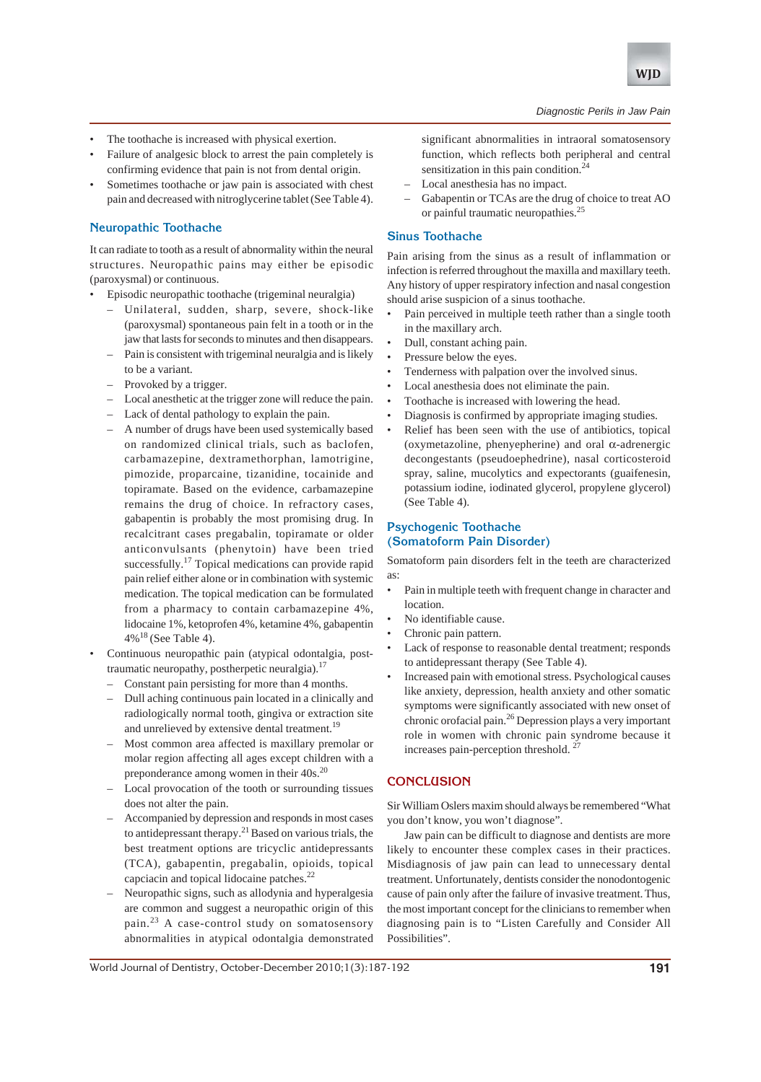

- The toothache is increased with physical exertion.
- Failure of analgesic block to arrest the pain completely is confirming evidence that pain is not from dental origin.
- Sometimes toothache or jaw pain is associated with chest pain and decreased with nitroglycerine tablet (See Table 4).

## **Neuropathic Toothache**

It can radiate to tooth as a result of abnormality within the neural structures. Neuropathic pains may either be episodic (paroxysmal) or continuous.

- Episodic neuropathic toothache (trigeminal neuralgia)
	- Unilateral, sudden, sharp, severe, shock-like (paroxysmal) spontaneous pain felt in a tooth or in the jaw that lasts for seconds to minutes and then disappears.
	- Pain is consistent with trigeminal neuralgia and is likely to be a variant.
	- Provoked by a trigger.
	- Local anesthetic at the trigger zone will reduce the pain.
	- Lack of dental pathology to explain the pain.
	- A number of drugs have been used systemically based on randomized clinical trials, such as baclofen, carbamazepine, dextramethorphan, lamotrigine, pimozide, proparcaine, tizanidine, tocainide and topiramate. Based on the evidence, carbamazepine remains the drug of choice. In refractory cases, gabapentin is probably the most promising drug. In recalcitrant cases pregabalin, topiramate or older anticonvulsants (phenytoin) have been tried successfully.<sup>17</sup> Topical medications can provide rapid pain relief either alone or in combination with systemic medication. The topical medication can be formulated from a pharmacy to contain carbamazepine 4%, lidocaine 1%, ketoprofen 4%, ketamine 4%, gabapentin  $4\%$ <sup>18</sup> (See Table 4).
- Continuous neuropathic pain (atypical odontalgia, posttraumatic neuropathy, postherpetic neuralgia).<sup>17</sup>
	- Constant pain persisting for more than 4 months.
	- Dull aching continuous pain located in a clinically and radiologically normal tooth, gingiva or extraction site and unrelieved by extensive dental treatment.<sup>19</sup>
	- Most common area affected is maxillary premolar or molar region affecting all ages except children with a preponderance among women in their 40s.<sup>20</sup>
	- Local provocation of the tooth or surrounding tissues does not alter the pain.
	- Accompanied by depression and responds in most cases to antidepressant therapy.21 Based on various trials, the best treatment options are tricyclic antidepressants (TCA), gabapentin, pregabalin, opioids, topical capciacin and topical lidocaine patches.<sup>22</sup>
	- Neuropathic signs, such as allodynia and hyperalgesia are common and suggest a neuropathic origin of this pain.23 A case-control study on somatosensory abnormalities in atypical odontalgia demonstrated

significant abnormalities in intraoral somatosensory function, which reflects both peripheral and central sensitization in this pain condition.<sup>24</sup>

- Local anesthesia has no impact.
- Gabapentin or TCAs are the drug of choice to treat AO or painful traumatic neuropathies.25

## **Sinus Toothache**

Pain arising from the sinus as a result of inflammation or infection is referred throughout the maxilla and maxillary teeth. Any history of upper respiratory infection and nasal congestion should arise suspicion of a sinus toothache.

- Pain perceived in multiple teeth rather than a single tooth in the maxillary arch.
- Dull, constant aching pain.
- Pressure below the eyes.
- Tenderness with palpation over the involved sinus.
- Local anesthesia does not eliminate the pain.
- Toothache is increased with lowering the head.
- Diagnosis is confirmed by appropriate imaging studies.
- Relief has been seen with the use of antibiotics, topical (oxymetazoline, phenyepherine) and oral α-adrenergic decongestants (pseudoephedrine), nasal corticosteroid spray, saline, mucolytics and expectorants (guaifenesin, potassium iodine, iodinated glycerol, propylene glycerol) (See Table 4).

## **Psychogenic Toothache (Somatoform Pain Disorder)**

Somatoform pain disorders felt in the teeth are characterized as:

- Pain in multiple teeth with frequent change in character and location.
- No identifiable cause.
- Chronic pain pattern.
- Lack of response to reasonable dental treatment; responds to antidepressant therapy (See Table 4).
- Increased pain with emotional stress. Psychological causes like anxiety, depression, health anxiety and other somatic symptoms were significantly associated with new onset of chronic orofacial pain.26 Depression plays a very important role in women with chronic pain syndrome because it increases pain-perception threshold. 27

## **CONCLUSION**

Sir William Oslers maxim should always be remembered "What you don't know, you won't diagnose".

Jaw pain can be difficult to diagnose and dentists are more likely to encounter these complex cases in their practices. Misdiagnosis of jaw pain can lead to unnecessary dental treatment. Unfortunately, dentists consider the nonodontogenic cause of pain only after the failure of invasive treatment.Thus, the most important concept for the clinicians to remember when diagnosing pain is to "Listen Carefully and Consider All Possibilities".